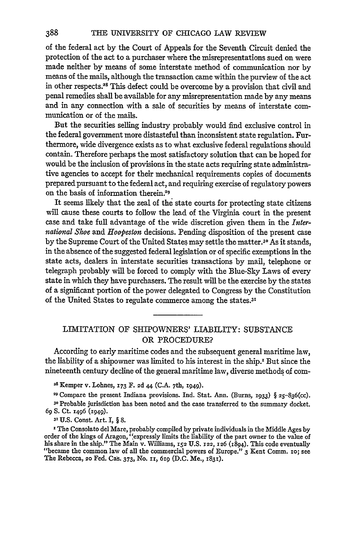of the federal act by the Court of Appeals for the Seventh Circuit denied the protection of the act to a purchaser where the misrepresentations sued on were made neither by means of some interstate method of communication nor by means of the mails, although the transaction came within the purview of the act in other respects.28 This defect could be overcome by a provision that civil and penal remedies shall be available for any misrepresentation made by any means and in any connection with a sale of securities by means of interstate communication or of the mails.

But the securities selling industry probably would find exclusive control in the federal government more distasteful than inconsistent state regulation. Furthermore, wide divergence exists as to what exclusive federal regulations should contain. Therefore perhaps the most satisfactory solution that can be hoped for would be the inclusion of provisions in the state acts requiring state administrative agencies to accept for their mechanical requirements copies of documents prepared pursuant to the federal act, and requiring exercise of regulatory powers on the basis of information therein.<sup>29</sup>

It seems likely that the zeal of the state courts for protecting state citizens will cause these courts to follow the lead of the Virginia court in the present case and take full advantage of the wide discretion given them in the *International Shoe* and *Hoopeston* decisions. Pending disposition of the present case by the Supreme Court of the United States may settle the matter.30 As it stands, in the absence of the suggested federal legislation or of specific exemptions in the state acts, dealers in interstate securities transactions by mail, telephone or telegraph probably will be forced to comply with the Blue-Sky Laws of every state in which they have purchasers. The result will be the exercise by the states of a significant portion of the power delegated to Congress by the Constitution of the United States to regulate commerce among the states.3'

# LIMITATION OF SHIPOWNERS' LIABILITY: SUBSTANCE OR PROCEDURE?

According to early maritime codes and the subsequent general maritime law, the liability of a shipowner was limited to his interest in the ship.' But since the nineteenth century decline of the general maritime law, diverse methods of com-

**<sup>28</sup>**Kemper v. Lohnes, **173** F. **2d** 44 (C.A. 7th, 1949).

**29** Compare the present Indiana provisions. Ind. Stat. Ann. (Burns, i933) § 25-836(cc).

**<sup>30</sup>**Probable jurisdiction has been noted and the case transferred to the summary docket. *69* S. Ct. 1496 (1949).

**3X** U.S. Const. Art. I, § 8.

<sup>1</sup> The Consolato del Mare, probably compiled by private individuals in the Middle Ages by order of the kings of Aragon, "expressly limits the liability of the part owner to the value of his share in the ship." The Main v. Williams, 152 U.S. 122, **126** (1894). This code eventually "became the common law of all the commercial powers of Europe." 3 Kent Comm. 10; see The Rebecca, 2o Fed. Ca's. 373, No. **ir, 61g** (D.C. Me., 1831).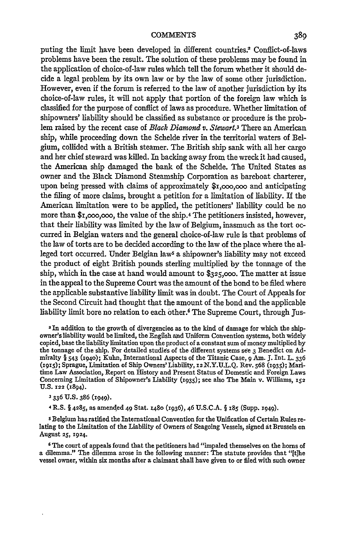puting the limit have been developed in different countries.<sup>2</sup> Conflict-of-laws problems have been the result. The solution of these problems may be found in the application of choice-of-law rules which tell the forum whether it should decide a legal problem by its own law or by the law of some other jurisdiction. However, even if the forum is referred to the law of another jurisdiction by its choice-of-law rules, it will not apply that portion of the foreign law which is classified for the purpose of conflict of laws as procedure. Whether limitation of shipowners' liability should be classified as substance or procedure is the problem raised by the recent case of *Black Diamond v. Stewarl.3* There an American ship, while proceeding down the Schelde river in the territorial waters of Belgium, collided with a British steamer. The British ship sank with all her cargo and her chief steward was killed. In backing away from the wreck it had caused, the American ship damaged the bank of the Schelde. The United States as owner and the Black Diamond Steamship Corporation as bareboat charterer, upon being pressed with claims of approximately  $r, \infty, \infty$ , and anticipating the filing of more claims, brought a petition for a limitation of liability. If the American limitation were to be applied, the petitioners' liability could be no more than \$1,000,000, the value of the ship.<sup>4</sup> The petitioners insisted, however, that their liability was limited by the law of Belgium, inasmuch as the tort occurred in Belgian waters and the general choice-of-law rule is that problems of the law of torts are to be decided according to the law of the place where the alleged tort occurred. Under Belgian laws a shipowner's liability may not exceed the product of eight British pounds sterling multiplied by the tonnage of the ship, which in the case at hand would amount to \$325,ooo. The matter at issue in the appeal to the Supreme Court was the amount of the bond to be filed where the applicable substantive liability limit was in doubt. The Court of Appeals for the Second Circuit had thought that the amount of the bond and the applicable liability limit bore no relation to each other.6 The Supreme Court, through Jus-

2 In addition to the growth of divergencies as to the kind of damage for which the shipowner's liability would be limited, the English and Uniform Convention systems, both widely copied, base the liability limitation upon the product of a constant sum of money multiplied by the tonnage of the ship. For detailed studids of the different systems see 3 Benedict on Admiralty § 543 **(294o);** Kuhn, International Aspects of the Titanic Case, **9** Am. **J.** Int. L. 336 ('9zs); Sprague, Limitation of Ship Owners' Liability, 12 N.Y.U.L.Q. Rev. 568 **(2935);** Maritime Law Association, Report on History and Present Status of Domestic and Foreign Laws Concerning Limitation of Shipowner's Liability (1935); see also The Main v. Williams, **i52** U.S. **122** (1894).

3336 U.S. 386 (1949).

**<sup>4</sup>**R.S. § 4285, as amended 49 Stat. 1480 (1936), 46 U.S.C.A. § **z85** (Supp. 1949).

<sup>s</sup>Belgium has ratified the International Convention for the Unification of Certain Rules re- lating to the Limitation of the Liability of Owners of Seagoing Vessels, signed at Brussels on August **25, 1924.**

**<sup>6</sup>The** court of appeals found that the petitioners had "impaled themselves on the horns of a dilemma." The dilemma arose in the following manner: The statute provides that "[t]he vessel owner, within six months after a claimant shall have given to or filed with such owner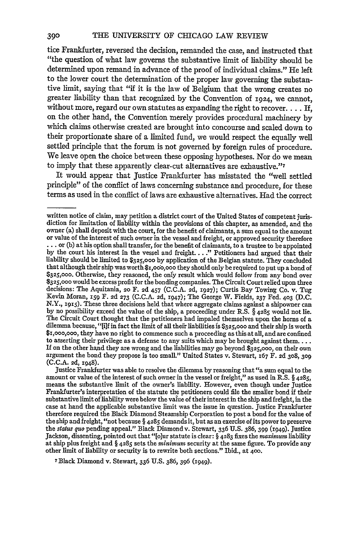tice Frankfurter, reversed the decision, remanded the case, and instructed that "the question of what law governs the substantive limit of liability should be determined upon remand in advance of the proof of individual claims." He left to the lower court the determination of the proper law governing the substantive limit, saying that "if it is the law of Belgium that the wrong creates no greater liability than that recognized by the Convention of i924, we cannot, without more, regard our own statutes as expanding the right to recover.... If, on the other hand, the Convention merely provides procedural machinery by which claims otherwise created are brought into concourse and scaled down to their proportionate share of a limited fund, we would respect the equally well settled principle that the forum is not governed by foreign rules of procedure. We leave open the choice between these opposing hypotheses. Nor do we mean to imply that these apparently clear-cut alternatives are exhaustive."7

It would appear that justice Frankfurter has misstated the "well settled principle" of the conflict of laws concerning substance and procedure, for these terms as used in the conflict of laws are exhaustive alternatives. Had the correct

Justice Frankfurter was able to resolve the dilemma by reasoning that "a sum equal to the amount or value of the interest of such owner in the vessel or freight," as used in R.S.  $\S$  4285, means the substantive limit of the owner's liability. However, even though under Justice Frankfurter's interpretation of the statute the petitioners could file the smaller bond if their substantive limit of liability were below the vaIue of their interest in the ship and freight, in the case at hand the applicable substantive limit was the issue in question. Justice Frankfurter therefore required the Black Diamond Steamship Corporation to post a bond for the value of the ship and freight, "not because § 4285 demands it, but as an exercise of its power to preserve the *status quo* pending appeal." Black Diamond v. Stewart, 336 U.S. 386, 399 (1949). Justice Jackson, dissenting, pointed out that "[o]ur statute is clear: § 4283 fixes the maximum liability at ship plus freight and § 4285 sets the minimum security at the same figure. To provide any other limit of liability or sec

**7** Black Diamond v. Stewart, 336 U.S. 386, 396 (i949).

written notice of claim, may petition a district court of the United States of competent juris-<br>diction for limitation of liability within the provisions of this chapter, as amended, and the<br>owner (a) shall deposit with t liability should be limited to \$325,oo by application of the Belgian statute. They concluded that although their ship was worth \$r,oooooo they should only be required to put up a bond of **\$325,000.** Otherwise, they reasoned, the only result which would follow from any bond over **\$325,000** would be excess profit for the bonding companies. The Circuit Court relied upon three decisions: The Aquitania, 2o F. **2d** 457 **(C.C.A. 2d, 1927);** Curtis Bay Towing Co. v. Tug Kevin Moran, **159** F. **2d 273** (C.C.A. **2d,** 1947); The George W. Fields, **237** Fed. 4o3 (D.C. N.Y., i915). These three decisions held that where aggregate claims against a shipowner can by no possibility exceed the value of the ship, a proceeding under R.S. § 4285 would not lie. The Circuit Court thought that the petitioners had impaled themselves upon the horns of a dilemma because, "[i]f in fact the limit of all their liabilities is **\$325,000** and their ship is worth \$i,ooo,ooo, they have no right to commence such a proceeding as this at all, and are confined to asserting their privilege as a defense to any suits which may be brought against them.... If on the other hand they are wrong and the liabilities may go beyond **\$325,000,** on their own argument the bond they propose is too small." United States v. Stewart, **167** F. 2d **308, 309** (C.C.A. **2d,** 1948).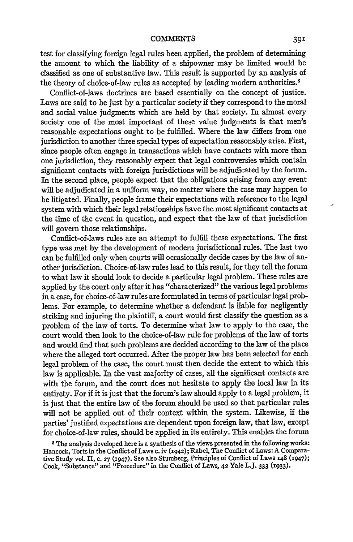### COMIAENTS **391**

test for classifying foreign legal rules been applied, the problem of determining the amount to which the liability of a shipowner may be limited would be classified as one of substantive law. This result is supported by an analysis of the theory of choice-of-law rules as accepted by leading modern authorities.<sup>8</sup>

Conflict-of-laws doctrines are based essentially on the concept of justice. Laws are said to be just by a particular society if they correspond to the moral and social value judgments which are held by that society. In almost every society one of the most important of these value judgments is that men's reasonable expectations ought to be fulfilled. Where the law differs from one jurisdiction to another three special types of expectation reasonably arise. First, since people often engage in transactions which have contacts with more than one jurisdiction, they reasonably expect that legal controversies which contain significant contacts with foreign jurisdictions will be adjudicated by the forum. In the second place, people expect that the obligations arising from any event will be adjudicated in a uniform way, no matter where the case may happen to be litigated. Finally, people frame their expectations with reference to the legal system with which their legal relationships have the most significant contacts at the time of the event in question, and expect that the law of that jurisdiction will govern those relationships.

Conflict-of-laws rules are an attempt to fulfill these expectations. The first type was met by the development of modem jurisdictional rules. The last two can be fulfilled only when courts will occasionally decide cases by the law of another jurisdiction. Choice-of-law rules lead to this result, for they tell the forum to what law it should look to decide a particular legal problem. These rules are applied by the court only after it has "characterized" the various legal problems in a case, for choice-of-law rules are formulated in terms of particular legal problems. For example, to determine whether a defendant is liable for negligently striking and injuring the plaintiff, a court would first classify the question as a problem of the law of torts. To determine what law to apply to the case, the court would then look to the choice-of-law rule for problems of the law of torts and would find that such problems are decided according to the law of the place where the alleged tort occurred. After the proper law has been selected for each legal problem of the case, the court must then decide the extent to which this law is applicable. In the vast majority of cases, all the significant contacts are with the forum, and the court does not hesitate to apply the local law in its entirety. For if it is just that the forum's law should apply to a legal problem, it is just that the entire law of the forum should be used so that particular rules will not be applied out of their context within the system. Likewise, if the parties' justified expectations are dependent upon foreign law, that law, except for choice-of-law rules, should be applied in its entirety. This enables the forum

**8** The analysis developed here is a synthesis of the views presented in the following works: Hancock, Torts in the Conflict of Laws c. iv (1942); Rabel, The Conflict of Laws: A Comparative Study vol. **11,** c. **27** (1947). See also Stumberg, Principles of Conflict of Laws 148 (1947); Cook, "Substance" and "Procedure" in the Conflict of Laws, 42 Yale L.J. **333 (1933).**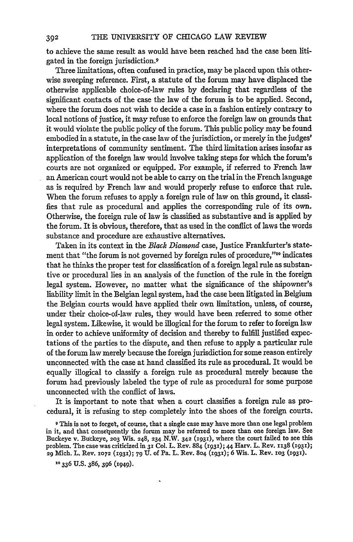to achieve the same result as would have been reached had the case been litigated in the foreign jurisdiction.9

Three limitations, often confused in practice, may be placed upon this otherwise sweeping reference. First, a statute of the forum may have displaced the otherwise applicable choice-of-law rules by declaring that regardless of the significant contacts of the case the law of the forum is to be applied. Second, where the forum does not wish to decide a case in a fashion entirely contrary to local notions of justice, it may refuse to enforce the foreign law on grounds that it would violate the public policy of the forum. This public policy may be found embodied in a statute, in the case law of the jurisdiction, or merely in the judges' interpretations of community sentiment. The third limitation arises insofar as application of the foreign law would involve taking steps for which the forum's courts are not organized or equipped. For example, if referred to French law an American court would not be able to carry on the trial in the French language as is required by French law and would properly refuse to enforce that rule. When the forum refuses to apply a foreign rule of law on this ground, it classifies that rule as procedural and applies the corresponding rule of its own. Otherwise, the foreign rule of law is classified as substantive and is applied by the forum. It is obvious, therefore, that as used in the conflict of laws the words substance and procedure are exhaustive alternatives.

Taken in its context in the *Black Diamond* case, Justice Frankfurter's statement that "the forum is not governed by foreign rules of procedure,"<sup>10</sup> indicates that he thinks the proper test for classification of a foreign legal rule as substantive or procedural lies in an analysis of the function of the rule in the foreign legal system. However, no matter what the significance of the shipowner's liability limit in the Belgian legal system, had the case been litigated in Belgium the Belgian courts would have applied their own limitation, unless, of course, under their choice-of-law rules, they would have been referred to some other legal system. Likewise, it would be illogical for the forum to refer to foreign law in order to achieve uniformity of decision and thereby to fulfill justified expectations of the parties to the dispute, and then refuse to apply a particular rule of the forum law merely because the foreign jurisdiction for some reason entirely unconnected with the case at hand classified its rule as procedural. It would be equally illogical to classify a foreign rule as procedural merely because the forum had previously labeled the type of rule as procedural for some purpose unconnected with the conflict of laws.

It is important to note that when a court classifies a foreign rule as procedural, it is refusing to step completely into the shoes of the foreign courts.

**<sup>9</sup>** This is not to forget, of course, that a single case may have more than one legal problem in it, and that consequently the forum may be referred to more than one foreign law. See Buckeye v. Buckeye, **203** Wis. 248, 234 N.W. 342 *(i931),* where the court failed to see this problem. The case was criticized in **31** Col. L. Rev. 884 (1931); 44 Harv. L. Rev. **1138** ('93 **x);** 29 Mich. L. Rev. **1072 (i93i);** 79 U. of Pa. L. Rev. 8o4 **(i93i);** 6 Wis. L. Rev. **103** (1931).

**<sup>&#</sup>x27;0** 336 U.S. 386, 396 (1949).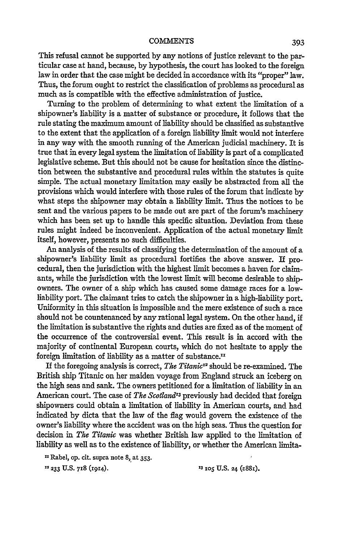## **COMMENTS**

This refusal cannot be supported by any notions of justice relevant to the particular case at hand, because, by hypothesis, the court has looked to the foreign law in order that the case might be decided in accordance with its "proper" law. Thus, the forum ought to restrict the classification of problems as procedural as much as is compatible with the effective administration of justice.

Turning to the problem of determining to what extent the limitation of a shipowner's liability is a matter of substance or procedure, it follows that the rule stating the maximum amount of liability should be classified as substantive to the extent that the application of a foreign liability limit would not interfere in any way with the smooth running of the American judicial machinery. It is true that in every legal system the limitation of liability is part of a complicated legislative scheme. But this should not be cause for hesitation since the distinction between the substantive and procedural rules within the statutes is quite simple. The actual monetary limitation may easily be abstracted from all the provisions which would interfere with those rules of the forum that indicate by what steps the shipowner may obtain a liability limit. Thus the notices to be sent and the various papers to be made out are part of the forum's machinery which has been set up to handle this specific situation. Deviation from these rules might indeed be inconvenient. Application of the actual monetary limit itself, however, presents no such difficulties.

An analysis of the results of classifying the determination of the amount of a shipowner's liability limit as procedural fortifies the above answer. If procedural, then the jurisdiction with the highest limit becomes a haven for claimants, while the jurisdiction with the lowest limit will become desirable to shipowners. The owner of a ship which has caused some damage races for a lowliability port. The claimant tries to catch the shipowner in a high-liability port. Uniformity in this situation is impossible and the mere existence of such a race should not be countenanced by any rational legal system. On the other hand, if the limitation is substantive the rights and duties are fixed as of the moment of the occurrence of the controversial event. This result is in accord with the majority of continental European courts, which do not hesitate to apply the foreign limitation of liability as a matter of substance.<sup>11</sup>

If the foregoing analysis is correct, *The Titanic <sup>2</sup>*should be re-examined. The British ship Titanic on her maiden voyage from England struck an iceberg on the high seas and sank. The owners petitioned for a limitation of liability in an American court. The case of *The Scotland<sup>13</sup>* previously had decided that foreign shipowners could obtain a limitation of liability in American courts, and had indicated by dicta that the law of the flag would govern the existence of the owner's liability where the accident was on the high seas. Thus the question for decision in *The Titanic* was whether British law applied to the limitation of liability as well as to the existence of liability, or whether the American limita-

**11** Rabel, op. cit. supra note 8, at 353.

**X2 233 U.S. 718 (1914). 13 105 U.S. 24 (188i).**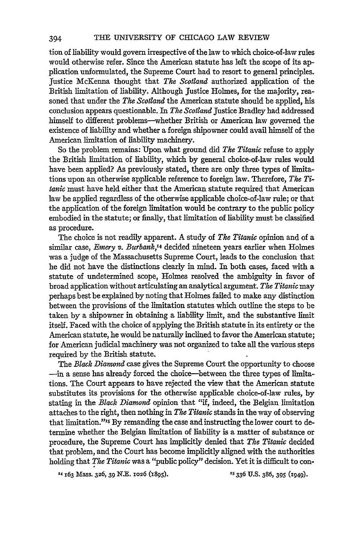tion of liability would govern irrespective of the law to which choice-of-law rules would otherwise refer. Since the American statute has left the scope of its application unformulated, the Supreme Court had to resort to general principles. justice McKenna thought that *The Scotland* authorized application of the British limitation of liability. Although Justice Holmes, for the majority, reasoned that under the *The Scotland* the American statute should be applied, his conclusion appears questionable. In *The Scotland* Justice Bradley had addressed himself to different problems-whether British or American law governed the existence of liability and whether a foreign shipowner could avail himself of the American limitation of liability machinery.

So the problem remains: Upon what ground did *The Titanic* refuse to apply the British limitation of liability, which by general choice-of-law rules would have been applied? As previously stated, there are only three types of limitations upon an otherwise applicable reference to foreign law. Therefore, *The Titanic* must have held either that the American statute required that American law be applied regardless of the otherwise applicable choice-of-law rule; or that the application of the foreign limitation would be contrary to the public policy embodied in the statute; or finally, that limitation of liability must be classified as procedure.

The choice is not readily apparent. A study of *The Titanic* opinion and of a similar case, *Emery v. Burbank*,<sup>14</sup> decided nineteen years earlier when Holmes was a judge of the Massachusetts Supreme Court, leads to the conclusion that he did not have the distinctions clearly in mind. In both cases, faced with a statute of undetermined scope, Holmes resolved the ambiguity in favor of broad application without articulating an analytical argument. *The Titanic* may perhaps best be explained by noting that Holmes failed to make any distinction between the provisions of the limitation statutes which outline the steps to be taken by a shipowner in obtaining a liability limit, and the substantive limit itself. Faced with the choice of applying the British statute in its entirety or the American statute, he would be naturally inclined to favor the American statute; for American judicial machinery was not organized to take all the various steps required by the British statute.

The *Black Diamond* case gives the Supreme Court the opportunity to choose -in a sense has already forced the choice-between the three types of limitations. The Court appears to have rejected the view that the American statute substitutes its provisions for the otherwise applicable choice-of-law rules, by stating in the *Black Diamond* opinion that "if, indeed, the Belgian limitation attaches to the right, then nothing in *The Titanic* stands in the way of observing that limitation."<sup>15</sup> By remanding the case and instructing the lower court to determine whether the Belgian limitation of liability is a matter of substance or procedure, the Supreme Court has implicitly denied that *The Titanic* decided that problem, and the Court has become implicitly aligned with the authorities holding that *The Titanic* was a "public policy" decision. Yet it is difficult to con-

X4 **J63** Mass. **326, 39 N.E. 1026** (t895). **s <sup>3</sup> <sup>3</sup> 6 U.S. 386, 395 (1949)-**